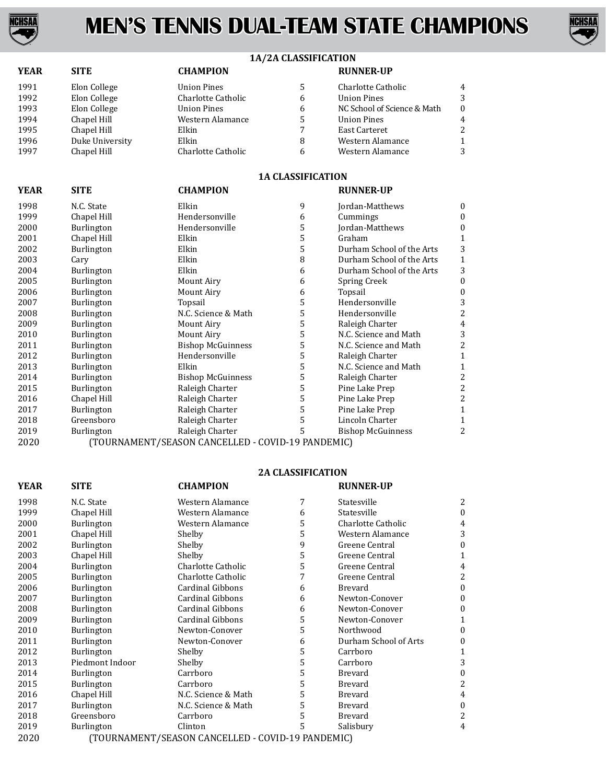



# **1A/2A CLASSIFICATION**

| <b>YEAR</b> | <b>SITE</b>     | <b>CHAMPION</b>    |   | <b>RUNNER-UP</b>            |                |
|-------------|-----------------|--------------------|---|-----------------------------|----------------|
| 1991        | Elon College    | <b>Union Pines</b> | 5 | Charlotte Catholic          | $\overline{4}$ |
| 1992        | Elon College    | Charlotte Catholic | 6 | <b>Union Pines</b>          | 3              |
| 1993        | Elon College    | <b>Union Pines</b> | 6 | NC School of Science & Math | $\theta$       |
| 1994        | Chapel Hill     | Western Alamance   | 5 | <b>Union Pines</b>          | 4              |
| 1995        | Chapel Hill     | Elkin              |   | <b>East Carteret</b>        | 2              |
| 1996        | Duke University | Elkin              | 8 | Western Alamance            | 1              |
| 1997        | Chapel Hill     | Charlotte Catholic | 6 | Western Alamance            | 3              |

## **1A CLASSIFICATION**

| YEAR | SITE              | <b>CHAMPION</b>                                   |   | <b>RUNNER-UP</b>          |              |
|------|-------------------|---------------------------------------------------|---|---------------------------|--------------|
| 1998 | N.C. State        | Elkin                                             | 9 | Jordan-Matthews           | $\mathbf{0}$ |
| 1999 | Chapel Hill       | Hendersonville                                    | 6 | Cummings                  | $\theta$     |
| 2000 | Burlington        | Hendersonville                                    | 5 | Jordan-Matthews           | $\mathbf{0}$ |
| 2001 | Chapel Hill       | Elkin                                             | 5 | Graham                    | 1            |
| 2002 | <b>Burlington</b> | Elkin                                             | 5 | Durham School of the Arts | 3            |
| 2003 | Cary              | Elkin                                             | 8 | Durham School of the Arts | 1            |
| 2004 | <b>Burlington</b> | Elkin                                             | 6 | Durham School of the Arts | 3            |
| 2005 | Burlington        | Mount Airy                                        | 6 | Spring Creek              | $\Omega$     |
| 2006 | Burlington        | Mount Airy                                        | 6 | Topsail                   | $\mathbf{0}$ |
| 2007 | <b>Burlington</b> | Topsail                                           | 5 | Hendersonville            | 3            |
| 2008 | Burlington        | N.C. Science & Math                               | 5 | Hendersonville            | 2            |
| 2009 | <b>Burlington</b> | Mount Airy                                        | 5 | Raleigh Charter           | 4            |
| 2010 | Burlington        | Mount Airy                                        | 5 | N.C. Science and Math     | 3            |
| 2011 | <b>Burlington</b> | <b>Bishop McGuinness</b>                          | 5 | N.C. Science and Math     | 2            |
| 2012 | <b>Burlington</b> | Hendersonville                                    | 5 | Raleigh Charter           | 1            |
| 2013 | Burlington        | Elkin                                             | 5 | N.C. Science and Math     |              |
| 2014 | <b>Burlington</b> | <b>Bishop McGuinness</b>                          | 5 | Raleigh Charter           | 2            |
| 2015 | Burlington        | Raleigh Charter                                   | 5 | Pine Lake Prep            | 2            |
| 2016 | Chapel Hill       | Raleigh Charter                                   | 5 | Pine Lake Prep            | 2            |
| 2017 | Burlington        | Raleigh Charter                                   | 5 | Pine Lake Prep            |              |
| 2018 | Greensboro        | Raleigh Charter                                   | 5 | Lincoln Charter           |              |
| 2019 | Burlington        | Raleigh Charter                                   | 5 | <b>Bishop McGuinness</b>  | 2            |
| 2020 |                   | (TOURNAMENT/SEASON CANCELLED - COVID-19 PANDEMIC) |   |                           |              |

### **2A CLASSIFICATION**

| <b>YEAR</b> | <b>SITE</b>                                       | <b>CHAMPION</b>         |   | <b>RUNNER-UP</b>      |   |
|-------------|---------------------------------------------------|-------------------------|---|-----------------------|---|
| 1998        | N.C. State                                        | Western Alamance        | 7 | Statesville           | 2 |
| 1999        | Chapel Hill                                       | Western Alamance        | 6 | Statesville           | 0 |
| 2000        | Burlington                                        | Western Alamance        | 5 | Charlotte Catholic    | 4 |
| 2001        | Chapel Hill                                       | Shelby                  | 5 | Western Alamance      | 3 |
| 2002        | Burlington                                        | Shelby                  | 9 | Greene Central        | 0 |
| 2003        | Chapel Hill                                       | Shelby                  | 5 | Greene Central        |   |
| 2004        | <b>Burlington</b>                                 | Charlotte Catholic      | 5 | Greene Central        | 4 |
| 2005        | Burlington                                        | Charlotte Catholic      | 7 | Greene Central        | 2 |
| 2006        | <b>Burlington</b>                                 | <b>Cardinal Gibbons</b> | 6 | <b>Brevard</b>        | 0 |
| 2007        | Burlington                                        | <b>Cardinal Gibbons</b> | 6 | Newton-Conover        | 0 |
| 2008        | Burlington                                        | Cardinal Gibbons        | 6 | Newton-Conover        | 0 |
| 2009        | <b>Burlington</b>                                 | <b>Cardinal Gibbons</b> | 5 | Newton-Conover        |   |
| 2010        | <b>Burlington</b>                                 | Newton-Conover          | 5 | Northwood             | 0 |
| 2011        | Burlington                                        | Newton-Conover          | 6 | Durham School of Arts | 0 |
| 2012        | <b>Burlington</b>                                 | Shelby                  | 5 | Carrboro              |   |
| 2013        | Piedmont Indoor                                   | Shelby                  | 5 | Carrboro              | 3 |
| 2014        | <b>Burlington</b>                                 | Carrboro                | 5 | Brevard               |   |
| 2015        | Burlington                                        | Carrboro                | 5 | Brevard               | 2 |
| 2016        | Chapel Hill                                       | N.C. Science & Math     | 5 | Brevard               | 4 |
| 2017        | Burlington                                        | N.C. Science & Math     | 5 | Brevard               | 0 |
| 2018        | Greensboro                                        | Carrboro                | 5 | Brevard               | 2 |
| 2019        | <b>Burlington</b>                                 | Clinton                 | 5 | Salisbury             | 4 |
| 2020        | (TOURNAMENT/SEASON CANCELLED - COVID-19 PANDEMIC) |                         |   |                       |   |